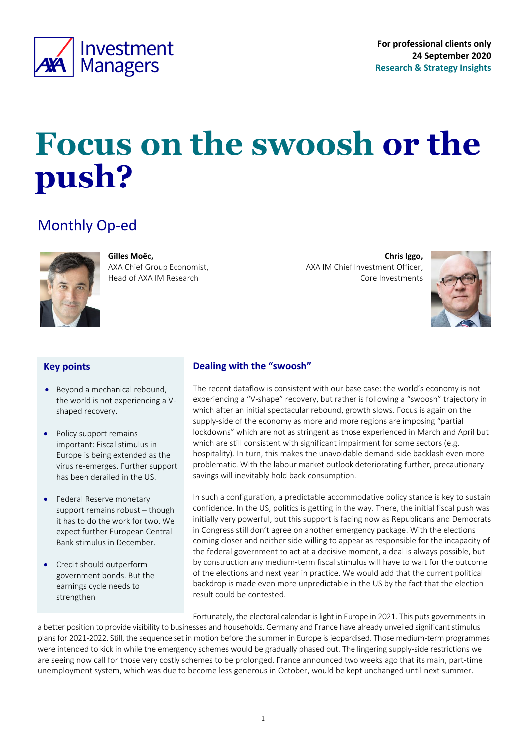<span id="page-0-0"></span>

# **Focus on the swoosh or the push?**

## Monthly Op-ed



**Gilles Moëc,** AXA Chief Group Economist, Head of AXA IM Research

**Chris Iggo,**  AXA IM Chief Investment Officer, Core Investments



#### **Key points**

- Beyond a mechanical rebound, the world is not experiencing a Vshaped recovery.
- Policy support remains important: Fiscal stimulus in Europe is being extended as the virus re-emerges. Further support has been derailed in the US.
- Federal Reserve monetary support remains robust – though it has to do the work for two. We expect further European Central Bank stimulus in December.
- Credit should outperform government bonds. But the earnings cycle needs to strengthen

### **Dealing with the "swoosh"**

The recent dataflow is consistent with our base case: the world's economy is not experiencing a "V-shape" recovery, but rather is following a "swoosh" trajectory in which after an initial spectacular rebound, growth slows. Focus is again on the supply-side of the economy as more and more regions are imposing "partial lockdowns" which are not as stringent as those experienced in March and April but which are still consistent with significant impairment for some sectors (e.g. hospitality). In turn, this makes the unavoidable demand-side backlash even more problematic. With the labour market outlook deteriorating further, precautionary savings will inevitably hold back consumption.

In such a configuration, a predictable accommodative policy stance is key to sustain confidence. In the US, politics is getting in the way. There, the initial fiscal push was initially very powerful, but this support is fading now as Republicans and Democrats in Congress still don't agree on another emergency package. With the elections coming closer and neither side willing to appear as responsible for the incapacity of the federal government to act at a decisive moment, a deal is always possible, but by construction any medium-term fiscal stimulus will have to wait for the outcome of the elections and next year in practice. We would add that the current political backdrop is made even more unpredictable in the US by the fact that the election result could be contested.

Fortunately, the electoral calendar is light in Europe in 2021. This puts governments in

a better position to provide visibility to businesses and households. Germany and France have already unveiled significant stimulus plans for 2021-2022. Still, the sequence set in motion before the summer in Europe is jeopardised. Those medium-term programmes were intended to kick in while the emergency schemes would be gradually phased out. The lingering supply-side restrictions we are seeing now call for those very costly schemes to be prolonged. France announced two weeks ago that its main, part-time unemployment system, which was due to become less generous in October, would be kept unchanged until next summer.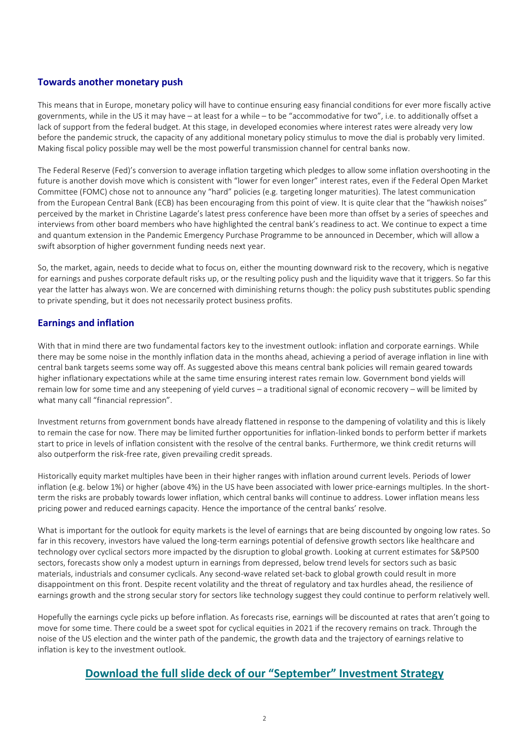#### **Towards another monetary push**

This means that in Europe, monetary policy will have to continue ensuring easy financial conditions for ever more fiscally active governments, while in the US it may have – at least for a while – to be "accommodative for two", i.e. to additionally offset a lack of support from the federal budget. At this stage, in developed economies where interest rates were already very low before the pandemic struck, the capacity of any additional monetary policy stimulus to move the dial is probably very limited. Making fiscal policy possible may well be the most powerful transmission channel for central banks now.

The Federal Reserve (Fed)'s conversion to average inflation targeting which pledges to allow some inflation overshooting in the future is another dovish move which is consistent with "lower for even longer" interest rates, even if the Federal Open Market Committee (FOMC) chose not to announce any "hard" policies (e.g. targeting longer maturities). The latest communication from the European Central Bank (ECB) has been encouraging from this point of view. It is quite clear that the "hawkish noises" perceived by the market in Christine Lagarde's latest press conference have been more than offset by a series of speeches and interviews from other board members who have highlighted the central bank's readiness to act. We continue to expect a time and quantum extension in the Pandemic Emergency Purchase Programme to be announced in December, which will allow a swift absorption of higher government funding needs next year.

So, the market, again, needs to decide what to focus on, either the mounting downward risk to the recovery, which is negative for earnings and pushes corporate default risks up, or the resulting policy push and the liquidity wave that it triggers. So far this year the latter has always won. We are concerned with diminishing returns though: the policy push substitutes public spending to private spending, but it does not necessarily protect business profits.

#### **Earnings and inflation**

With that in mind there are two fundamental factors key to the investment outlook: inflation and corporate earnings. While there may be some noise in the monthly inflation data in the months ahead, achieving a period of average inflation in line with central bank targets seems some way off. As suggested above this means central bank policies will remain geared towards higher inflationary expectations while at the same time ensuring interest rates remain low. Government bond yields will remain low for some time and any steepening of yield curves – a traditional signal of economic recovery – will be limited by what many call "financial repression".

Investment returns from government bonds have already flattened in response to the dampening of volatility and this is likely to remain the case for now. There may be limited further opportunities for inflation-linked bonds to perform better if markets start to price in levels of inflation consistent with the resolve of the central banks. Furthermore, we think credit returns will also outperform the risk-free rate, given prevailing credit spreads.

Historically equity market multiples have been in their higher ranges with inflation around current levels. Periods of lower inflation (e.g. below 1%) or higher (above 4%) in the US have been associated with lower price-earnings multiples. In the shortterm the risks are probably towards lower inflation, which central banks will continue to address. Lower inflation means less pricing power and reduced earnings capacity. Hence the importance of the central banks' resolve.

What is important for the outlook for equity markets is the level of earnings that are being discounted by ongoing low rates. So far in this recovery, investors have valued the long-term earnings potential of defensive growth sectors like healthcare and technology over cyclical sectors more impacted by the disruption to global growth. Looking at current estimates for S&P500 sectors, forecasts show only a modest upturn in earnings from depressed, below trend levels for sectors such as basic materials, industrials and consumer cyclicals. Any second-wave related set-back to global growth could result in more disappointment on this front. Despite recent volatility and the threat of regulatory and tax hurdles ahead, the resilience of earnings growth and the strong secular story for sectors like technology suggest they could continue to perform relatively well.

Hopefully the earnings cycle picks up before inflation. As forecasts rise, earnings will be discounted at rates that aren't going to move for some time. There could be a sweet spot for cyclical equities in 2021 if the recovery remains on track. Through the noise of the US election and the winter path of the pandemic, the growth data and the trajectory of earnings relative to inflation is key to the investment outlook.

## **[Download the full slide deck of our "](https://axa-im.com/documents/20195/694460/Monthly+Investment+Strategy+Presentation+20200923+en.pdf/80ab0177-d1fe-193f-f2ee-f5d439c16419?t=1600874765197)September" Investment Strategy**